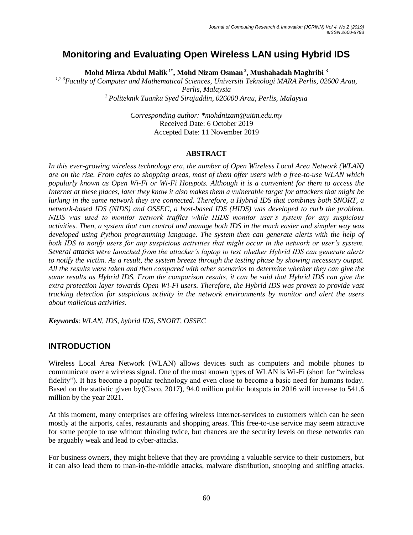# **Monitoring and Evaluating Open Wireless LAN using Hybrid IDS**

**Mohd Mirza Abdul Malik 1\* , Mohd Nizam Osman <sup>2</sup> , Mushahadah Maghribi <sup>3</sup>**

*1,2,3Faculty of Computer and Mathematical Sciences, Universiti Teknologi MARA Perlis, 02600 Arau, Perlis, Malaysia <sup>3</sup> Politeknik Tuanku Syed Sirajuddin, 026000 Arau, Perlis, Malaysia*

> *Corresponding author: \*mohdnizam@uitm.edu.my* Received Date: 6 October 2019 Accepted Date: 11 November 2019

### **ABSTRACT**

*In this ever-growing wireless technology era, the number of Open Wireless Local Area Network (WLAN) are on the rise. From cafes to shopping areas, most of them offer users with a free-to-use WLAN which popularly known as Open Wi-Fi or Wi-Fi Hotspots. Although it is a convenient for them to access the Internet at these places, later they know it also makes them a vulnerable target for attackers that might be lurking in the same network they are connected. Therefore, a Hybrid IDS that combines both SNORT, a network-based IDS (NIDS) and OSSEC, a host-based IDS (HIDS) was developed to curb the problem. NIDS was used to monitor network traffics while HIDS monitor user's system for any suspicious activities. Then, a system that can control and manage both IDS in the much easier and simpler way was developed using Python programming language. The system then can generate alerts with the help of both IDS to notify users for any suspicious activities that might occur in the network or user's system. Several attacks were launched from the attacker's laptop to test whether Hybrid IDS can generate alerts to notify the victim. As a result, the system breeze through the testing phase by showing necessary output. All the results were taken and then compared with other scenarios to determine whether they can give the same results as Hybrid IDS. From the comparison results, it can be said that Hybrid IDS can give the extra protection layer towards Open Wi-Fi users. Therefore, the Hybrid IDS was proven to provide vast tracking detection for suspicious activity in the network environments by monitor and alert the users about malicious activities.* 

*Keywords*: *WLAN, IDS, hybrid IDS, SNORT, OSSEC*

### **INTRODUCTION**

Wireless Local Area Network (WLAN) allows devices such as computers and mobile phones to communicate over a wireless signal. One of the most known types of WLAN is Wi-Fi (short for "wireless fidelity"). It has become a popular technology and even close to become a basic need for humans today. Based on the statistic given by(Cisco, 2017), 94.0 million public hotspots in 2016 will increase to 541.6 million by the year 2021.

At this moment, many enterprises are offering wireless Internet-services to customers which can be seen mostly at the airports, cafes, restaurants and shopping areas. This free-to-use service may seem attractive for some people to use without thinking twice, but chances are the security levels on these networks can be arguably weak and lead to cyber-attacks.

For business owners, they might believe that they are providing a valuable service to their customers, but it can also lead them to man-in-the-middle attacks, malware distribution, snooping and sniffing attacks.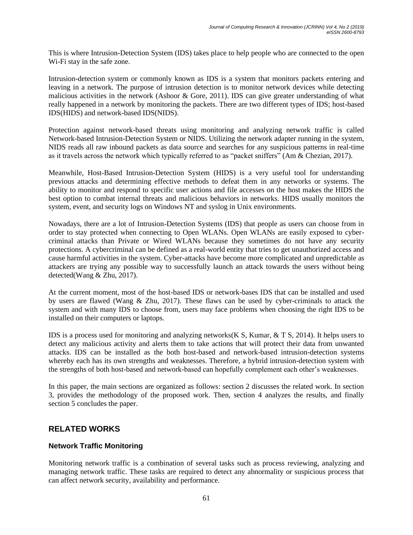This is where Intrusion-Detection System (IDS) takes place to help people who are connected to the open Wi-Fi stay in the safe zone.

Intrusion-detection system or commonly known as IDS is a system that monitors packets entering and leaving in a network. The purpose of intrusion detection is to monitor network devices while detecting malicious activities in the network (Ashoor & Gore, 2011). IDS can give greater understanding of what really happened in a network by monitoring the packets. There are two different types of IDS; host-based IDS(HIDS) and network-based IDS(NIDS).

Protection against network-based threats using monitoring and analyzing network traffic is called Network-based Intrusion-Detection System or NIDS. Utilizing the network adapter running in the system, NIDS reads all raw inbound packets as data source and searches for any suspicious patterns in real-time as it travels across the network which typically referred to as "packet sniffers" (Am & Chezian, 2017).

Meanwhile, Host-Based Intrusion-Detection System (HIDS) is a very useful tool for understanding previous attacks and determining effective methods to defeat them in any networks or systems. The ability to monitor and respond to specific user actions and file accesses on the host makes the HIDS the best option to combat internal threats and malicious behaviors in networks. HIDS usually monitors the system, event, and security logs on Windows NT and syslog in Unix environments.

Nowadays, there are a lot of Intrusion-Detection Systems (IDS) that people as users can choose from in order to stay protected when connecting to Open WLANs. Open WLANs are easily exposed to cybercriminal attacks than Private or Wired WLANs because they sometimes do not have any security protections. A cybercriminal can be defined as a real-world entity that tries to get unauthorized access and cause harmful activities in the system. Cyber-attacks have become more complicated and unpredictable as attackers are trying any possible way to successfully launch an attack towards the users without being detected(Wang & Zhu, 2017).

At the current moment, most of the host-based IDS or network-bases IDS that can be installed and used by users are flawed (Wang & Zhu, 2017). These flaws can be used by cyber-criminals to attack the system and with many IDS to choose from, users may face problems when choosing the right IDS to be installed on their computers or laptops.

IDS is a process used for monitoring and analyzing networks( $\overline{K}S$ , Kumar,  $\&$  T S, 2014). It helps users to detect any malicious activity and alerts them to take actions that will protect their data from unwanted attacks. IDS can be installed as the both host-based and network-based intrusion-detection systems whereby each has its own strengths and weaknesses. Therefore, a hybrid intrusion-detection system with the strengths of both host-based and network-based can hopefully complement each other's weaknesses.

In this paper, the main sections are organized as follows: section 2 discusses the related work. In section 3, provides the methodology of the proposed work. Then, section 4 analyzes the results, and finally section 5 concludes the paper.

# **RELATED WORKS**

### **Network Traffic Monitoring**

Monitoring network traffic is a combination of several tasks such as process reviewing, analyzing and managing network traffic. These tasks are required to detect any abnormality or suspicious process that can affect network security, availability and performance.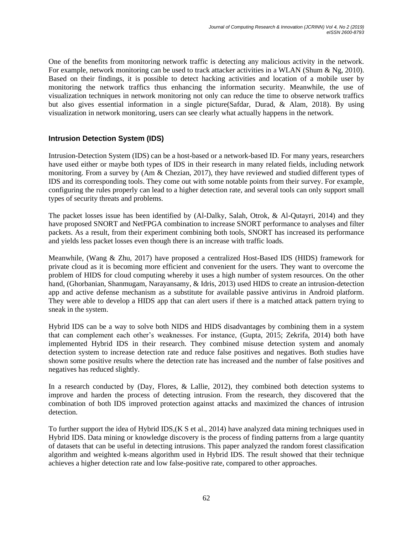One of the benefits from monitoring network traffic is detecting any malicious activity in the network. For example, network monitoring can be used to track attacker activities in a WLAN (Shum & Ng, 2010). Based on their findings, it is possible to detect hacking activities and location of a mobile user by monitoring the network traffics thus enhancing the information security. Meanwhile, the use of visualization techniques in network monitoring not only can reduce the time to observe network traffics but also gives essential information in a single picture(Safdar, Durad, & Alam, 2018). By using visualization in network monitoring, users can see clearly what actually happens in the network.

### **Intrusion Detection System (IDS)**

Intrusion-Detection System (IDS) can be a host-based or a network-based ID. For many years, researchers have used either or maybe both types of IDS in their research in many related fields, including network monitoring. From a survey by (Am & Chezian, 2017), they have reviewed and studied different types of IDS and its corresponding tools. They come out with some notable points from their survey. For example, configuring the rules properly can lead to a higher detection rate, and several tools can only support small types of security threats and problems.

The packet losses issue has been identified by (Al-Dalky, Salah, Otrok, & Al-Qutayri, 2014) and they have proposed SNORT and NetFPGA combination to increase SNORT performance to analyses and filter packets. As a result, from their experiment combining both tools, SNORT has increased its performance and yields less packet losses even though there is an increase with traffic loads.

Meanwhile, (Wang & Zhu, 2017) have proposed a centralized Host-Based IDS (HIDS) framework for private cloud as it is becoming more efficient and convenient for the users. They want to overcome the problem of HIDS for cloud computing whereby it uses a high number of system resources. On the other hand, (Ghorbanian, Shanmugam, Narayansamy, & Idris, 2013) used HIDS to create an intrusion-detection app and active defense mechanism as a substitute for available passive antivirus in Android platform. They were able to develop a HIDS app that can alert users if there is a matched attack pattern trying to sneak in the system.

Hybrid IDS can be a way to solve both NIDS and HIDS disadvantages by combining them in a system that can complement each other's weaknesses. For instance, (Gupta, 2015; Zekrifa, 2014) both have implemented Hybrid IDS in their research. They combined misuse detection system and anomaly detection system to increase detection rate and reduce false positives and negatives. Both studies have shown some positive results where the detection rate has increased and the number of false positives and negatives has reduced slightly.

In a research conducted by (Day, Flores, & Lallie, 2012), they combined both detection systems to improve and harden the process of detecting intrusion. From the research, they discovered that the combination of both IDS improved protection against attacks and maximized the chances of intrusion detection.

To further support the idea of Hybrid IDS,(K S et al., 2014) have analyzed data mining techniques used in Hybrid IDS. Data mining or knowledge discovery is the process of finding patterns from a large quantity of datasets that can be useful in detecting intrusions. This paper analyzed the random forest classification algorithm and weighted k-means algorithm used in Hybrid IDS. The result showed that their technique achieves a higher detection rate and low false-positive rate, compared to other approaches.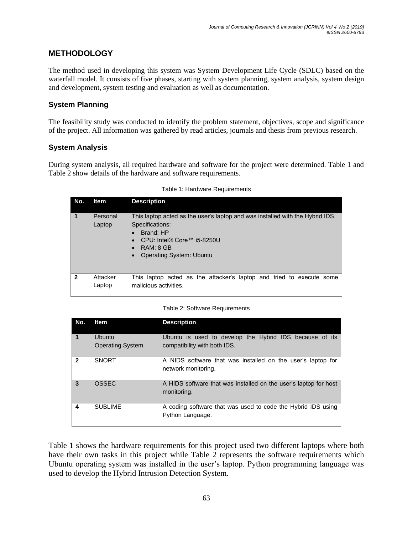# **METHODOLOGY**

The method used in developing this system was System Development Life Cycle (SDLC) based on the waterfall model. It consists of five phases, starting with system planning, system analysis, system design and development, system testing and evaluation as well as documentation.

### **System Planning**

The feasibility study was conducted to identify the problem statement, objectives, scope and significance of the project. All information was gathered by read articles, journals and thesis from previous research.

### **System Analysis**

During system analysis, all required hardware and software for the project were determined. Table 1 and Table 2 show details of the hardware and software requirements.

| No.            | <b>Item</b>        | <b>Description</b>                                                                                                                                                                          |  |  |  |  |
|----------------|--------------------|---------------------------------------------------------------------------------------------------------------------------------------------------------------------------------------------|--|--|--|--|
| 1              | Personal<br>Laptop | This laptop acted as the user's laptop and was installed with the Hybrid IDS.<br>Specifications:<br>Brand: HP<br>CPU: Intel® Core™ i5-8250U<br>RAM: 8 GB<br><b>Operating System: Ubuntu</b> |  |  |  |  |
| $\overline{2}$ | Attacker<br>Laptop | This laptop acted as the attacker's laptop and tried to execute some<br>malicious activities.                                                                                               |  |  |  |  |

#### Table 1: Hardware Requirements

#### Table 2: Software Requirements

| No.                     | <b>Item</b>                              | <b>Description</b>                                                                      |
|-------------------------|------------------------------------------|-----------------------------------------------------------------------------------------|
| $\overline{\mathbf{1}}$ | <b>Ubuntu</b><br><b>Operating System</b> | Ubuntu is used to develop the Hybrid IDS because of its<br>compatibility with both IDS. |
| $\overline{2}$          | <b>SNORT</b>                             | A NIDS software that was installed on the user's laptop for<br>network monitoring.      |
| $\overline{\mathbf{3}}$ | OSSEC                                    | A HIDS software that was installed on the user's laptop for host<br>monitoring.         |
| 4                       | <b>SUBLIME</b>                           | A coding software that was used to code the Hybrid IDS using<br>Python Language.        |

Table 1 shows the hardware requirements for this project used two different laptops where both have their own tasks in this project while Table 2 represents the software requirements which Ubuntu operating system was installed in the user's laptop. Python programming language was used to develop the Hybrid Intrusion Detection System.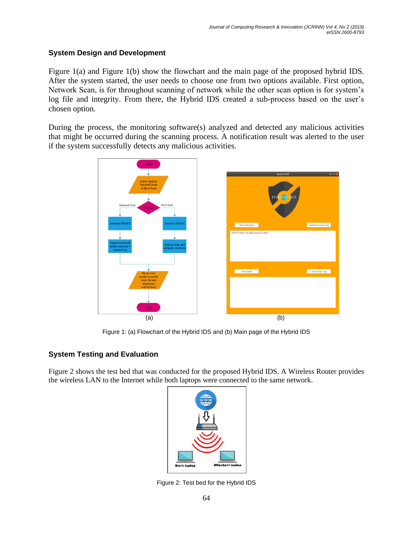### **System Design and Development**

Figure 1(a) and Figure 1(b) show the flowchart and the main page of the proposed hybrid IDS. After the system started, the user needs to choose one from two options available. First option, Network Scan, is for throughout scanning of network while the other scan option is for system's log file and integrity. From there, the Hybrid IDS created a sub-process based on the user's chosen option.

During the process, the monitoring software(s) analyzed and detected any malicious activities that might be occurred during the scanning process. A notification result was alerted to the user if the system successfully detects any malicious activities.



Figure 1: (a) Flowchart of the Hybrid IDS and (b) Main page of the Hybrid IDS

### **System Testing and Evaluation**

Figure 2 shows the test bed that was conducted for the proposed Hybrid IDS. A Wireless Router provides the wireless LAN to the Internet while both laptops were connected to the same network.



Figure 2: Test bed for the Hybrid IDS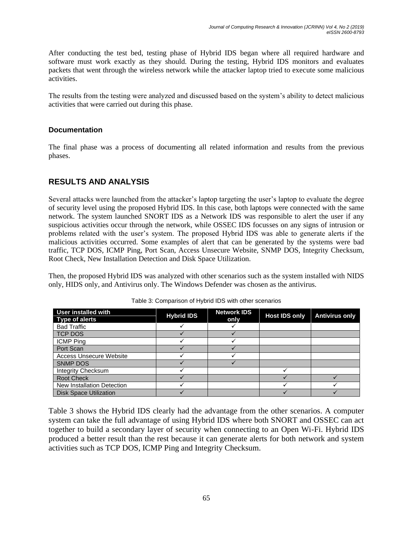After conducting the test bed, testing phase of Hybrid IDS began where all required hardware and software must work exactly as they should. During the testing, Hybrid IDS monitors and evaluates packets that went through the wireless network while the attacker laptop tried to execute some malicious activities.

The results from the testing were analyzed and discussed based on the system's ability to detect malicious activities that were carried out during this phase.

### **Documentation**

The final phase was a process of documenting all related information and results from the previous phases.

# **RESULTS AND ANALYSIS**

Several attacks were launched from the attacker's laptop targeting the user's laptop to evaluate the degree of security level using the proposed Hybrid IDS. In this case, both laptops were connected with the same network. The system launched SNORT IDS as a Network IDS was responsible to alert the user if any suspicious activities occur through the network, while OSSEC IDS focusses on any signs of intrusion or problems related with the user's system. The proposed Hybrid IDS was able to generate alerts if the malicious activities occurred. Some examples of alert that can be generated by the systems were bad traffic, TCP DOS, ICMP Ping, Port Scan, Access Unsecure Website, SNMP DOS, Integrity Checksum, Root Check, New Installation Detection and Disk Space Utilization.

Then, the proposed Hybrid IDS was analyzed with other scenarios such as the system installed with NIDS only, HIDS only, and Antivirus only. The Windows Defender was chosen as the antivirus.

| <b>User installed with</b>     | <b>Hybrid IDS</b> | <b>Network IDS</b><br>only | <b>Host IDS only</b> | <b>Antivirus only</b> |
|--------------------------------|-------------------|----------------------------|----------------------|-----------------------|
| <b>Type of alerts</b>          |                   |                            |                      |                       |
| <b>Bad Traffic</b>             |                   |                            |                      |                       |
| <b>TCP DOS</b>                 |                   |                            |                      |                       |
| <b>ICMP Ping</b>               |                   |                            |                      |                       |
| Port Scan                      |                   |                            |                      |                       |
| <b>Access Unsecure Website</b> |                   |                            |                      |                       |
| <b>SNMP DOS</b>                |                   |                            |                      |                       |
| <b>Integrity Checksum</b>      |                   |                            |                      |                       |
| <b>Root Check</b>              |                   |                            |                      |                       |
| New Installation Detection     |                   |                            |                      |                       |
| <b>Disk Space Utilization</b>  |                   |                            |                      |                       |

Table 3: Comparison of Hybrid IDS with other scenarios

Table 3 shows the Hybrid IDS clearly had the advantage from the other scenarios. A computer system can take the full advantage of using Hybrid IDS where both SNORT and OSSEC can act together to build a secondary layer of security when connecting to an Open Wi-Fi. Hybrid IDS produced a better result than the rest because it can generate alerts for both network and system activities such as TCP DOS, ICMP Ping and Integrity Checksum.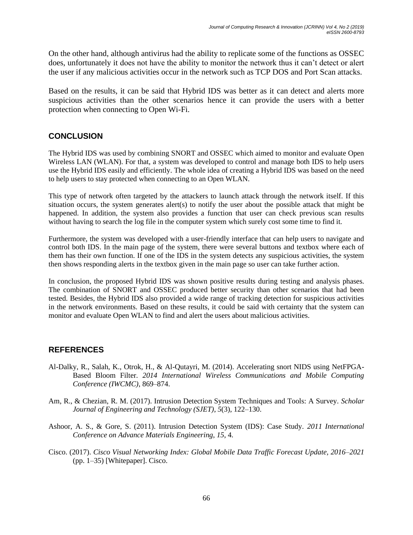On the other hand, although antivirus had the ability to replicate some of the functions as OSSEC does, unfortunately it does not have the ability to monitor the network thus it can't detect or alert the user if any malicious activities occur in the network such as TCP DOS and Port Scan attacks.

Based on the results, it can be said that Hybrid IDS was better as it can detect and alerts more suspicious activities than the other scenarios hence it can provide the users with a better protection when connecting to Open Wi-Fi.

# **CONCLUSION**

The Hybrid IDS was used by combining SNORT and OSSEC which aimed to monitor and evaluate Open Wireless LAN (WLAN). For that, a system was developed to control and manage both IDS to help users use the Hybrid IDS easily and efficiently. The whole idea of creating a Hybrid IDS was based on the need to help users to stay protected when connecting to an Open WLAN.

This type of network often targeted by the attackers to launch attack through the network itself. If this situation occurs, the system generates alert(s) to notify the user about the possible attack that might be happened. In addition, the system also provides a function that user can check previous scan results without having to search the log file in the computer system which surely cost some time to find it.

Furthermore, the system was developed with a user-friendly interface that can help users to navigate and control both IDS. In the main page of the system, there were several buttons and textbox where each of them has their own function. If one of the IDS in the system detects any suspicious activities, the system then shows responding alerts in the textbox given in the main page so user can take further action.

In conclusion, the proposed Hybrid IDS was shown positive results during testing and analysis phases. The combination of SNORT and OSSEC produced better security than other scenarios that had been tested. Besides, the Hybrid IDS also provided a wide range of tracking detection for suspicious activities in the network environments. Based on these results, it could be said with certainty that the system can monitor and evaluate Open WLAN to find and alert the users about malicious activities.

# **REFERENCES**

- Al-Dalky, R., Salah, K., Otrok, H., & Al-Qutayri, M. (2014). Accelerating snort NIDS using NetFPGA-Based Bloom Filter. *2014 International Wireless Communications and Mobile Computing Conference (IWCMC)*, 869–874.
- Am, R., & Chezian, R. M. (2017). Intrusion Detection System Techniques and Tools: A Survey. *Scholar Journal of Engineering and Technology (SJET)*, *5*(3), 122–130.
- Ashoor, A. S., & Gore, S. (2011). Intrusion Detection System (IDS): Case Study. *2011 International Conference on Advance Materials Engineering*, *15*, 4.
- Cisco. (2017). *Cisco Visual Networking Index: Global Mobile Data Traffic Forecast Update, 2016–2021* (pp. 1–35) [Whitepaper]. Cisco.